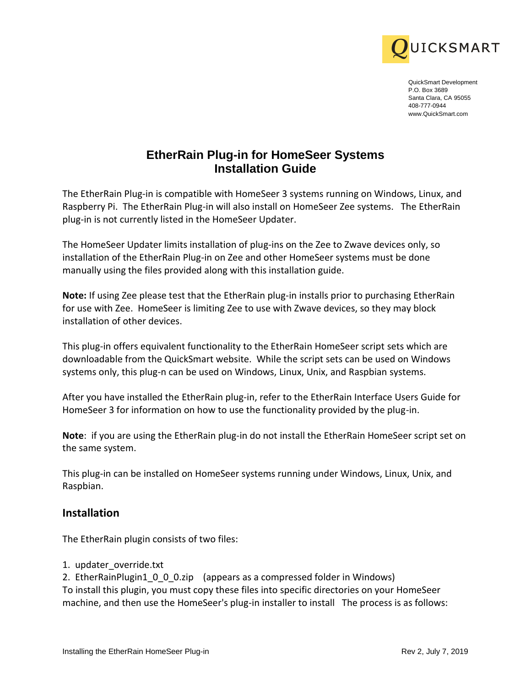

QuickSmart Development P.O. Box 3689 Santa Clara, CA 95055 408-777-0944 www.QuickSmart.com

## **EtherRain Plug-in for HomeSeer Systems Installation Guide**

**IDUIT CAS MART**<br> **EtherRain Plug-in for HomeSeer Systems**<br> **EtherRain Plug-in for HomeSeer Systems**<br> **Installation Guide**<br> **Installation Guide**<br> **Installation Guide**<br> **Installation distribution of plug-in and the comparis** The EtherRain Plug-in is compatible with HomeSeer 3 systems running on Windows, Linux, and Raspberry Pi. The EtherRain Plug-in will also install on HomeSeer Zee systems. The EtherRain plug-in is not currently listed in the HomeSeer Updater.

The HomeSeer Updater limits installation of plug-ins on the Zee to Zwave devices only, so installation of the EtherRain Plug-in on Zee and other HomeSeer systems must be done manually using the files provided along with this installation guide.

**Note:** If using Zee please test that the EtherRain plug-in installs prior to purchasing EtherRain for use with Zee. HomeSeer is limiting Zee to use with Zwave devices, so they may block installation of other devices.

This plug-in offers equivalent functionality to the EtherRain HomeSeer script sets which are downloadable from the QuickSmart website. While the script sets can be used on Windows systems only, this plug-n can be used on Windows, Linux, Unix, and Raspbian systems.

After you have installed the EtherRain plug-in, refer to the EtherRain Interface Users Guide for HomeSeer 3 for information on how to use the functionality provided by the plug-in.

**Note**: if you are using the EtherRain plug-in do not install the EtherRain HomeSeer script set on the same system.

This plug-in can be installed on HomeSeer systems running under Windows, Linux, Unix, and Raspbian.

## **Installation**

The EtherRain plugin consists of two files:

1. updater\_override.txt

2. EtherRainPlugin1\_0\_0\_0.zip (appears as a compressed folder in Windows) To install this plugin, you must copy these files into specific directories on your HomeSeer machine, and then use the HomeSeer's plug-in installer to install The process is as follows: